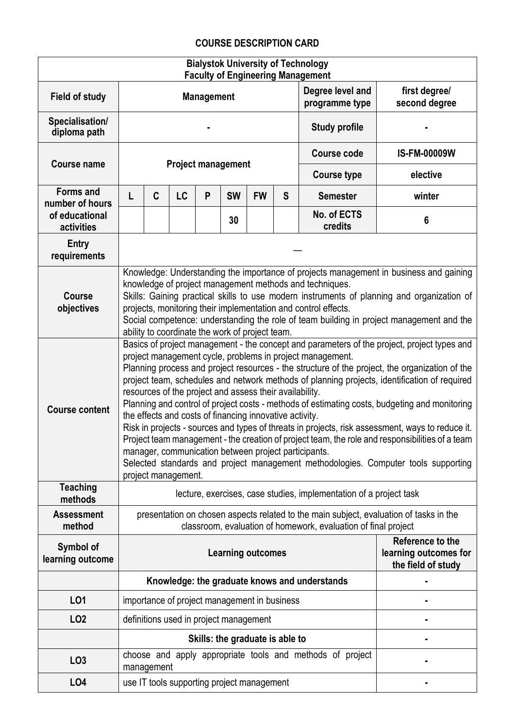## **COURSE DESCRIPTION CARD**

| <b>Bialystok University of Technology</b><br><b>Faculty of Engineering Management</b> |                                                                                                                                                                                                                                                                                                                                                                                                                                                                  |                                                                                                                                                                                                                                                                                                                                                                                                                                                                                                                                                                                                                                                                                                                                                                                                                                                                                                                                                               |    |                   |                                              |           |   |                                                                    |                                                                 |  |  |
|---------------------------------------------------------------------------------------|------------------------------------------------------------------------------------------------------------------------------------------------------------------------------------------------------------------------------------------------------------------------------------------------------------------------------------------------------------------------------------------------------------------------------------------------------------------|---------------------------------------------------------------------------------------------------------------------------------------------------------------------------------------------------------------------------------------------------------------------------------------------------------------------------------------------------------------------------------------------------------------------------------------------------------------------------------------------------------------------------------------------------------------------------------------------------------------------------------------------------------------------------------------------------------------------------------------------------------------------------------------------------------------------------------------------------------------------------------------------------------------------------------------------------------------|----|-------------------|----------------------------------------------|-----------|---|--------------------------------------------------------------------|-----------------------------------------------------------------|--|--|
| <b>Field of study</b>                                                                 |                                                                                                                                                                                                                                                                                                                                                                                                                                                                  |                                                                                                                                                                                                                                                                                                                                                                                                                                                                                                                                                                                                                                                                                                                                                                                                                                                                                                                                                               |    | <b>Management</b> |                                              |           |   | Degree level and<br>programme type                                 | first degree/<br>second degree                                  |  |  |
| Specialisation/<br>diploma path                                                       |                                                                                                                                                                                                                                                                                                                                                                                                                                                                  |                                                                                                                                                                                                                                                                                                                                                                                                                                                                                                                                                                                                                                                                                                                                                                                                                                                                                                                                                               |    |                   |                                              |           |   | <b>Study profile</b>                                               |                                                                 |  |  |
|                                                                                       |                                                                                                                                                                                                                                                                                                                                                                                                                                                                  |                                                                                                                                                                                                                                                                                                                                                                                                                                                                                                                                                                                                                                                                                                                                                                                                                                                                                                                                                               |    |                   |                                              |           |   | <b>Course code</b>                                                 | <b>IS-FM-00009W</b>                                             |  |  |
| <b>Course name</b>                                                                    | <b>Project management</b>                                                                                                                                                                                                                                                                                                                                                                                                                                        |                                                                                                                                                                                                                                                                                                                                                                                                                                                                                                                                                                                                                                                                                                                                                                                                                                                                                                                                                               |    |                   |                                              |           |   | <b>Course type</b>                                                 | elective                                                        |  |  |
| <b>Forms and</b><br>number of hours                                                   |                                                                                                                                                                                                                                                                                                                                                                                                                                                                  | C                                                                                                                                                                                                                                                                                                                                                                                                                                                                                                                                                                                                                                                                                                                                                                                                                                                                                                                                                             | LC | P                 | <b>SW</b>                                    | <b>FW</b> | S | <b>Semester</b>                                                    | winter                                                          |  |  |
| of educational<br>activities                                                          |                                                                                                                                                                                                                                                                                                                                                                                                                                                                  |                                                                                                                                                                                                                                                                                                                                                                                                                                                                                                                                                                                                                                                                                                                                                                                                                                                                                                                                                               |    |                   | 30                                           |           |   | No. of ECTS<br>credits                                             | 6                                                               |  |  |
| <b>Entry</b><br>requirements                                                          |                                                                                                                                                                                                                                                                                                                                                                                                                                                                  |                                                                                                                                                                                                                                                                                                                                                                                                                                                                                                                                                                                                                                                                                                                                                                                                                                                                                                                                                               |    |                   |                                              |           |   |                                                                    |                                                                 |  |  |
| <b>Course</b><br>objectives                                                           | Knowledge: Understanding the importance of projects management in business and gaining<br>knowledge of project management methods and techniques.<br>Skills: Gaining practical skills to use modern instruments of planning and organization of<br>projects, monitoring their implementation and control effects.<br>Social competence: understanding the role of team building in project management and the<br>ability to coordinate the work of project team. |                                                                                                                                                                                                                                                                                                                                                                                                                                                                                                                                                                                                                                                                                                                                                                                                                                                                                                                                                               |    |                   |                                              |           |   |                                                                    |                                                                 |  |  |
| <b>Course content</b>                                                                 |                                                                                                                                                                                                                                                                                                                                                                                                                                                                  | Basics of project management - the concept and parameters of the project, project types and<br>project management cycle, problems in project management.<br>Planning process and project resources - the structure of the project, the organization of the<br>project team, schedules and network methods of planning projects, identification of required<br>resources of the project and assess their availability.<br>Planning and control of project costs - methods of estimating costs, budgeting and monitoring<br>the effects and costs of financing innovative activity.<br>Risk in projects - sources and types of threats in projects, risk assessment, ways to reduce it.<br>Project team management - the creation of project team, the role and responsibilities of a team<br>manager, communication between project participants.<br>Selected standards and project management methodologies. Computer tools supporting<br>project management. |    |                   |                                              |           |   |                                                                    |                                                                 |  |  |
| <b>Teaching</b><br>methods                                                            |                                                                                                                                                                                                                                                                                                                                                                                                                                                                  |                                                                                                                                                                                                                                                                                                                                                                                                                                                                                                                                                                                                                                                                                                                                                                                                                                                                                                                                                               |    |                   |                                              |           |   | lecture, exercises, case studies, implementation of a project task |                                                                 |  |  |
| <b>Assessment</b><br>method                                                           | presentation on chosen aspects related to the main subject, evaluation of tasks in the<br>classroom, evaluation of homework, evaluation of final project                                                                                                                                                                                                                                                                                                         |                                                                                                                                                                                                                                                                                                                                                                                                                                                                                                                                                                                                                                                                                                                                                                                                                                                                                                                                                               |    |                   |                                              |           |   |                                                                    |                                                                 |  |  |
| Symbol of<br>learning outcome                                                         |                                                                                                                                                                                                                                                                                                                                                                                                                                                                  |                                                                                                                                                                                                                                                                                                                                                                                                                                                                                                                                                                                                                                                                                                                                                                                                                                                                                                                                                               |    |                   | <b>Learning outcomes</b>                     |           |   |                                                                    | Reference to the<br>learning outcomes for<br>the field of study |  |  |
|                                                                                       |                                                                                                                                                                                                                                                                                                                                                                                                                                                                  |                                                                                                                                                                                                                                                                                                                                                                                                                                                                                                                                                                                                                                                                                                                                                                                                                                                                                                                                                               |    |                   |                                              |           |   | Knowledge: the graduate knows and understands                      |                                                                 |  |  |
| L01                                                                                   |                                                                                                                                                                                                                                                                                                                                                                                                                                                                  |                                                                                                                                                                                                                                                                                                                                                                                                                                                                                                                                                                                                                                                                                                                                                                                                                                                                                                                                                               |    |                   | importance of project management in business |           |   |                                                                    |                                                                 |  |  |
| LO <sub>2</sub>                                                                       |                                                                                                                                                                                                                                                                                                                                                                                                                                                                  |                                                                                                                                                                                                                                                                                                                                                                                                                                                                                                                                                                                                                                                                                                                                                                                                                                                                                                                                                               |    |                   | definitions used in project management       |           |   |                                                                    |                                                                 |  |  |
|                                                                                       |                                                                                                                                                                                                                                                                                                                                                                                                                                                                  | Skills: the graduate is able to                                                                                                                                                                                                                                                                                                                                                                                                                                                                                                                                                                                                                                                                                                                                                                                                                                                                                                                               |    |                   |                                              |           |   |                                                                    |                                                                 |  |  |
| LO <sub>3</sub>                                                                       |                                                                                                                                                                                                                                                                                                                                                                                                                                                                  | management                                                                                                                                                                                                                                                                                                                                                                                                                                                                                                                                                                                                                                                                                                                                                                                                                                                                                                                                                    |    |                   |                                              |           |   | choose and apply appropriate tools and methods of project          |                                                                 |  |  |
| LO <sub>4</sub>                                                                       |                                                                                                                                                                                                                                                                                                                                                                                                                                                                  |                                                                                                                                                                                                                                                                                                                                                                                                                                                                                                                                                                                                                                                                                                                                                                                                                                                                                                                                                               |    |                   | use IT tools supporting project management   |           |   |                                                                    |                                                                 |  |  |